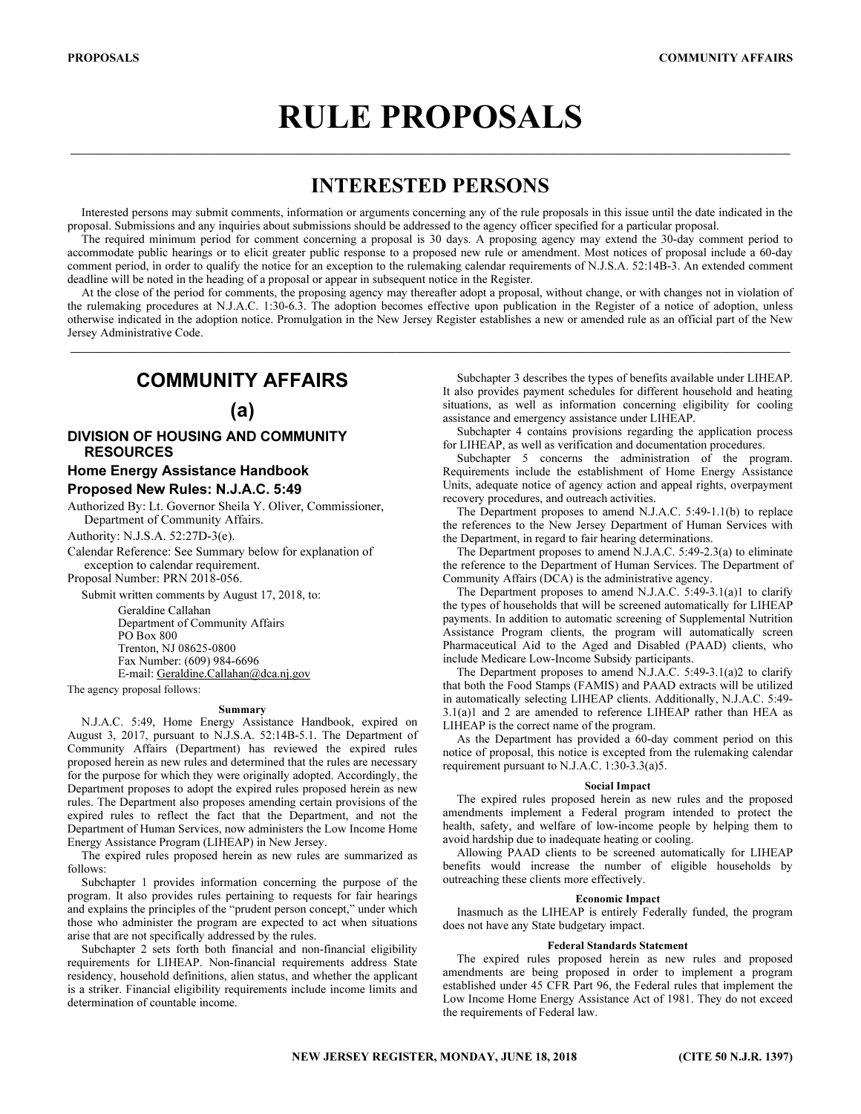# RULE PROPOSALS

# INTERESTED PERSONS

\_\_\_\_\_\_\_\_\_\_\_\_\_\_\_\_\_\_\_\_\_\_\_\_\_\_\_\_\_\_\_\_\_\_\_\_\_\_\_\_\_\_\_\_\_\_\_\_\_\_\_\_\_\_\_\_\_\_\_\_\_\_\_\_\_\_\_\_\_\_\_\_\_\_\_\_\_\_\_\_\_\_\_\_\_\_\_\_\_\_\_\_\_\_\_\_\_\_\_\_\_\_\_\_\_\_\_\_\_\_\_\_\_\_\_

Interested persons may submit comments, information or arguments concerning any of the rule proposals in this issue until the date indicated in the proposal. Submissions and any inquiries about submissions should be addressed to the agency officer specified for a particular proposal.

The required minimum period for comment concerning a proposal is 30 days. A proposing agency may extend the 30-day comment period to accommodate public hearings or to elicit greater public response to a proposed new rule or amendment. Most notices of proposal include a 60-day comment period, in order to qualify the notice for an exception to the rulemaking calendar requirements of N.J.S.A. 52:14B-3. An extended comment deadline will be noted in the heading of a proposal or appear in subsequent notice in the Register.

At the close of the period for comments, the proposing agency may thereafter adopt a proposal, without change, or with changes not in violation of the rulemaking procedures at N.J.A.C. 1:30-6.3. The adoption becomes effective upon publication in the Register of a notice of adoption, unless otherwise indicated in the adoption notice. Promulgation in the New Jersey Register establishes a new or amended rule as an official part of the New Jersey Administrative Code.

\_\_\_\_\_\_\_\_\_\_\_\_\_\_\_\_\_\_\_\_\_\_\_\_\_\_\_\_\_\_\_\_\_\_\_\_\_\_\_\_\_\_\_\_\_\_\_\_\_\_\_\_\_\_\_\_\_\_\_\_\_\_\_\_\_\_\_\_\_\_\_\_\_\_\_\_\_\_\_\_\_\_\_\_\_\_\_\_\_\_\_\_\_\_\_\_\_\_\_\_\_\_\_\_\_\_\_\_\_\_\_\_\_\_\_

# COMMUNITY AFFAIRS

# (a)

## DIVISION OF HOUSING AND COMMUNITY RESOURCES

# Home Energy Assistance Handbook Proposed New Rules: N.J.A.C. 5:49

Authorized By: Lt. Governor Sheila Y. Oliver, Commissioner, Department of Community Affairs.

Authority: N.J.S.A. 52:27D-3(e).

Calendar Reference: See Summary below for explanation of exception to calendar requirement.

Proposal Number: PRN 2018-056.

Submit written comments by August 17, 2018, to:

Geraldine Callahan Department of Community Affairs PO Box 800 Trenton, NJ 08625-0800 Fax Number: (609) 984-6696 E-mail: Geraldine.Callahan@dca.nj.gov

The agency proposal follows:

#### Summary

N.J.A.C. 5:49, Home Energy Assistance Handbook, expired on August 3, 2017, pursuant to N.J.S.A. 52:14B-5.1. The Department of Community Affairs (Department) has reviewed the expired rules proposed herein as new rules and determined that the rules are necessary for the purpose for which they were originally adopted. Accordingly, the Department proposes to adopt the expired rules proposed herein as new rules. The Department also proposes amending certain provisions of the expired rules to reflect the fact that the Department, and not the Department of Human Services, now administers the Low Income Home Energy Assistance Program (LIHEAP) in New Jersey.

The expired rules proposed herein as new rules are summarized as follows:

Subchapter 1 provides information concerning the purpose of the program. It also provides rules pertaining to requests for fair hearings and explains the principles of the "prudent person concept," under which those who administer the program are expected to act when situations arise that are not specifically addressed by the rules.

Subchapter 2 sets forth both financial and non-financial eligibility requirements for LIHEAP. Non-financial requirements address State residency, household definitions, alien status, and whether the applicant is a striker. Financial eligibility requirements include income limits and determination of countable income.

Subchapter 3 describes the types of benefits available under LIHEAP. It also provides payment schedules for different household and heating situations, as well as information concerning eligibility for cooling assistance and emergency assistance under LIHEAP.

Subchapter 4 contains provisions regarding the application process for LIHEAP, as well as verification and documentation procedures.

Subchapter 5 concerns the administration of the program. Requirements include the establishment of Home Energy Assistance Units, adequate notice of agency action and appeal rights, overpayment recovery procedures, and outreach activities.

The Department proposes to amend N.J.A.C. 5:49-1.1(b) to replace the references to the New Jersey Department of Human Services with the Department, in regard to fair hearing determinations.

The Department proposes to amend N.J.A.C. 5:49-2.3(a) to eliminate the reference to the Department of Human Services. The Department of Community Affairs (DCA) is the administrative agency.

The Department proposes to amend N.J.A.C. 5:49-3.1(a)1 to clarify the types of households that will be screened automatically for LIHEAP payments. In addition to automatic screening of Supplemental Nutrition Assistance Program clients, the program will automatically screen Pharmaceutical Aid to the Aged and Disabled (PAAD) clients, who include Medicare Low-Income Subsidy participants.

The Department proposes to amend N.J.A.C. 5:49-3.1(a)2 to clarify that both the Food Stamps (FAMIS) and PAAD extracts will be utilized in automatically selecting LIHEAP clients. Additionally, N.J.A.C. 5:49- 3.1(a)1 and 2 are amended to reference LIHEAP rather than HEA as LIHEAP is the correct name of the program.

As the Department has provided a 60-day comment period on this notice of proposal, this notice is excepted from the rulemaking calendar requirement pursuant to N.J.A.C. 1:30-3.3(a)5.

## Social Impact

The expired rules proposed herein as new rules and the proposed amendments implement a Federal program intended to protect the health, safety, and welfare of low-income people by helping them to avoid hardship due to inadequate heating or cooling.

Allowing PAAD clients to be screened automatically for LIHEAP benefits would increase the number of eligible households by outreaching these clients more effectively.

#### Economic Impact

Inasmuch as the LIHEAP is entirely Federally funded, the program does not have any State budgetary impact.

#### Federal Standards Statement

The expired rules proposed herein as new rules and proposed amendments are being proposed in order to implement a program established under 45 CFR Part 96, the Federal rules that implement the Low Income Home Energy Assistance Act of 1981. They do not exceed the requirements of Federal law.